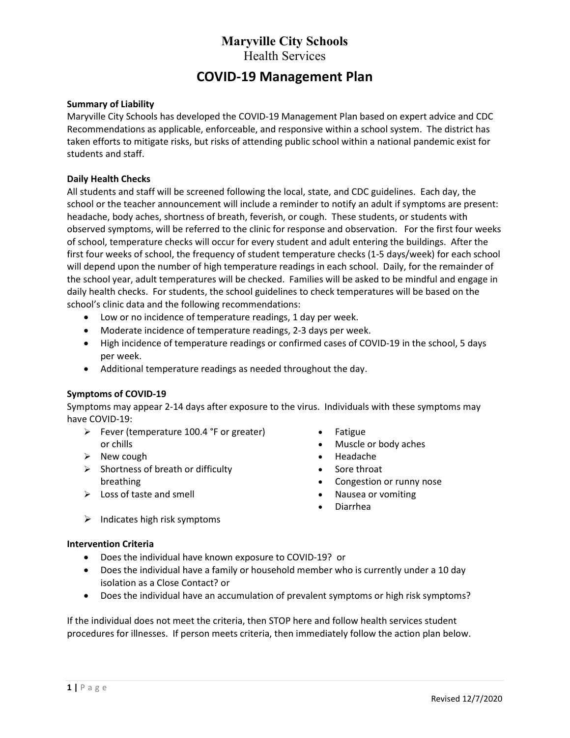# COVID-19 Management Plan

#### Summary of Liability

Maryville City Schools has developed the COVID-19 Management Plan based on expert advice and CDC Recommendations as applicable, enforceable, and responsive within a school system. The district has taken efforts to mitigate risks, but risks of attending public school within a national pandemic exist for students and staff.

#### Daily Health Checks

All students and staff will be screened following the local, state, and CDC guidelines. Each day, the school or the teacher announcement will include a reminder to notify an adult if symptoms are present: headache, body aches, shortness of breath, feverish, or cough. These students, or students with observed symptoms, will be referred to the clinic for response and observation. For the first four weeks of school, temperature checks will occur for every student and adult entering the buildings. After the first four weeks of school, the frequency of student temperature checks (1-5 days/week) for each school will depend upon the number of high temperature readings in each school. Daily, for the remainder of the school year, adult temperatures will be checked. Families will be asked to be mindful and engage in daily health checks. For students, the school guidelines to check temperatures will be based on the school's clinic data and the following recommendations:

- Low or no incidence of temperature readings, 1 day per week.
- Moderate incidence of temperature readings, 2-3 days per week.
- High incidence of temperature readings or confirmed cases of COVID-19 in the school, 5 days per week.
- Additional temperature readings as needed throughout the day.

#### Symptoms of COVID-19

Symptoms may appear 2-14 days after exposure to the virus. Individuals with these symptoms may have COVID-19:

- $\triangleright$  Fever (temperature 100.4 °F or greater) or chills
- $\triangleright$  New cough
- $\triangleright$  Shortness of breath or difficulty breathing
- $\triangleright$  Loss of taste and smell
- Fatigue
- Muscle or body aches
- Headache
- Sore throat
- Congestion or runny nose
- Nausea or vomiting
- Diarrhea

 $\triangleright$  Indicates high risk symptoms

#### Intervention Criteria

- Does the individual have known exposure to COVID-19? or
- Does the individual have a family or household member who is currently under a 10 day isolation as a Close Contact? or
- Does the individual have an accumulation of prevalent symptoms or high risk symptoms?

If the individual does not meet the criteria, then STOP here and follow health services student procedures for illnesses. If person meets criteria, then immediately follow the action plan below.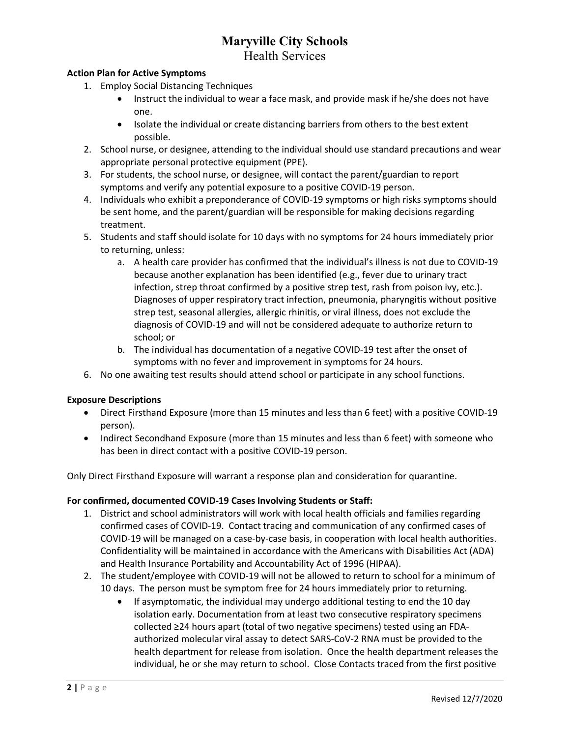#### Action Plan for Active Symptoms

- 1. Employ Social Distancing Techniques
	- Instruct the individual to wear a face mask, and provide mask if he/she does not have one.
	- Isolate the individual or create distancing barriers from others to the best extent possible.
- 2. School nurse, or designee, attending to the individual should use standard precautions and wear appropriate personal protective equipment (PPE).
- 3. For students, the school nurse, or designee, will contact the parent/guardian to report symptoms and verify any potential exposure to a positive COVID-19 person.
- 4. Individuals who exhibit a preponderance of COVID-19 symptoms or high risks symptoms should be sent home, and the parent/guardian will be responsible for making decisions regarding treatment.
- 5. Students and staff should isolate for 10 days with no symptoms for 24 hours immediately prior to returning, unless:
	- a. A health care provider has confirmed that the individual's illness is not due to COVID-19 because another explanation has been identified (e.g., fever due to urinary tract infection, strep throat confirmed by a positive strep test, rash from poison ivy, etc.). Diagnoses of upper respiratory tract infection, pneumonia, pharyngitis without positive strep test, seasonal allergies, allergic rhinitis, or viral illness, does not exclude the diagnosis of COVID-19 and will not be considered adequate to authorize return to school; or
	- b. The individual has documentation of a negative COVID-19 test after the onset of symptoms with no fever and improvement in symptoms for 24 hours.
- 6. No one awaiting test results should attend school or participate in any school functions.

#### Exposure Descriptions

- Direct Firsthand Exposure (more than 15 minutes and less than 6 feet) with a positive COVID-19 person).
- Indirect Secondhand Exposure (more than 15 minutes and less than 6 feet) with someone who has been in direct contact with a positive COVID-19 person.

Only Direct Firsthand Exposure will warrant a response plan and consideration for quarantine.

#### For confirmed, documented COVID-19 Cases Involving Students or Staff:

- 1. District and school administrators will work with local health officials and families regarding confirmed cases of COVID-19. Contact tracing and communication of any confirmed cases of COVID-19 will be managed on a case-by-case basis, in cooperation with local health authorities. Confidentiality will be maintained in accordance with the Americans with Disabilities Act (ADA) and Health Insurance Portability and Accountability Act of 1996 (HIPAA).
- 2. The student/employee with COVID-19 will not be allowed to return to school for a minimum of 10 days. The person must be symptom free for 24 hours immediately prior to returning.
	- If asymptomatic, the individual may undergo additional testing to end the 10 day isolation early. Documentation from at least two consecutive respiratory specimens collected ≥24 hours apart (total of two negative specimens) tested using an FDAauthorized molecular viral assay to detect SARS-CoV-2 RNA must be provided to the health department for release from isolation. Once the health department releases the individual, he or she may return to school. Close Contacts traced from the first positive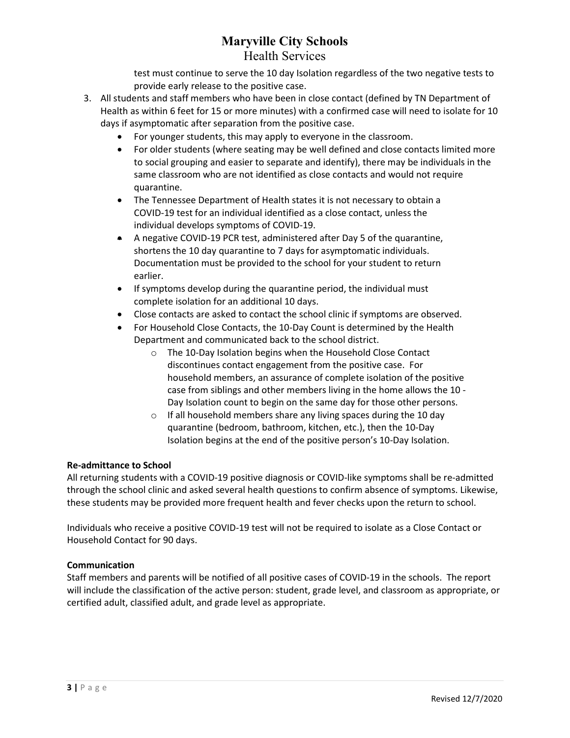test must continue to serve the 10 day Isolation regardless of the two negative tests to provide early release to the positive case.

- 3. All students and staff members who have been in close contact (defined by TN Department of Health as within 6 feet for 15 or more minutes) with a confirmed case will need to isolate for 10 days if asymptomatic after separation from the positive case.
	- For younger students, this may apply to everyone in the classroom.
	- For older students (where seating may be well defined and close contacts limited more to social grouping and easier to separate and identify), there may be individuals in the same classroom who are not identified as close contacts and would not require quarantine.
	- The Tennessee Department of Health states it is not necessary to obtain a COVID-19 test for an individual identified as a close contact, unless the individual develops symptoms of COVID-19.
	- A negative COVID-19 PCR test, administered after Day 5 of the quarantine, shortens the 10 day quarantine to 7 days for asymptomatic individuals. Documentation must be provided to the school for your student to return earlier.
	- If symptoms develop during the quarantine period, the individual must complete isolation for an additional 10 days.
	- Close contacts are asked to contact the school clinic if symptoms are observed.
	- For Household Close Contacts, the 10-Day Count is determined by the Health Department and communicated back to the school district.
		- o The 10-Day Isolation begins when the Household Close Contact discontinues contact engagement from the positive case. For household members, an assurance of complete isolation of the positive case from siblings and other members living in the home allows the 10 - Day Isolation count to begin on the same day for those other persons.
		- o If all household members share any living spaces during the 10 day quarantine (bedroom, bathroom, kitchen, etc.), then the 10-Day Isolation begins at the end of the positive person's 10-Day Isolation.

#### Re-admittance to School

All returning students with a COVID-19 positive diagnosis or COVID-like symptoms shall be re-admitted through the school clinic and asked several health questions to confirm absence of symptoms. Likewise, these students may be provided more frequent health and fever checks upon the return to school.

Individuals who receive a positive COVID-19 test will not be required to isolate as a Close Contact or Household Contact for 90 days.

#### Communication

Staff members and parents will be notified of all positive cases of COVID-19 in the schools. The report will include the classification of the active person: student, grade level, and classroom as appropriate, or certified adult, classified adult, and grade level as appropriate.